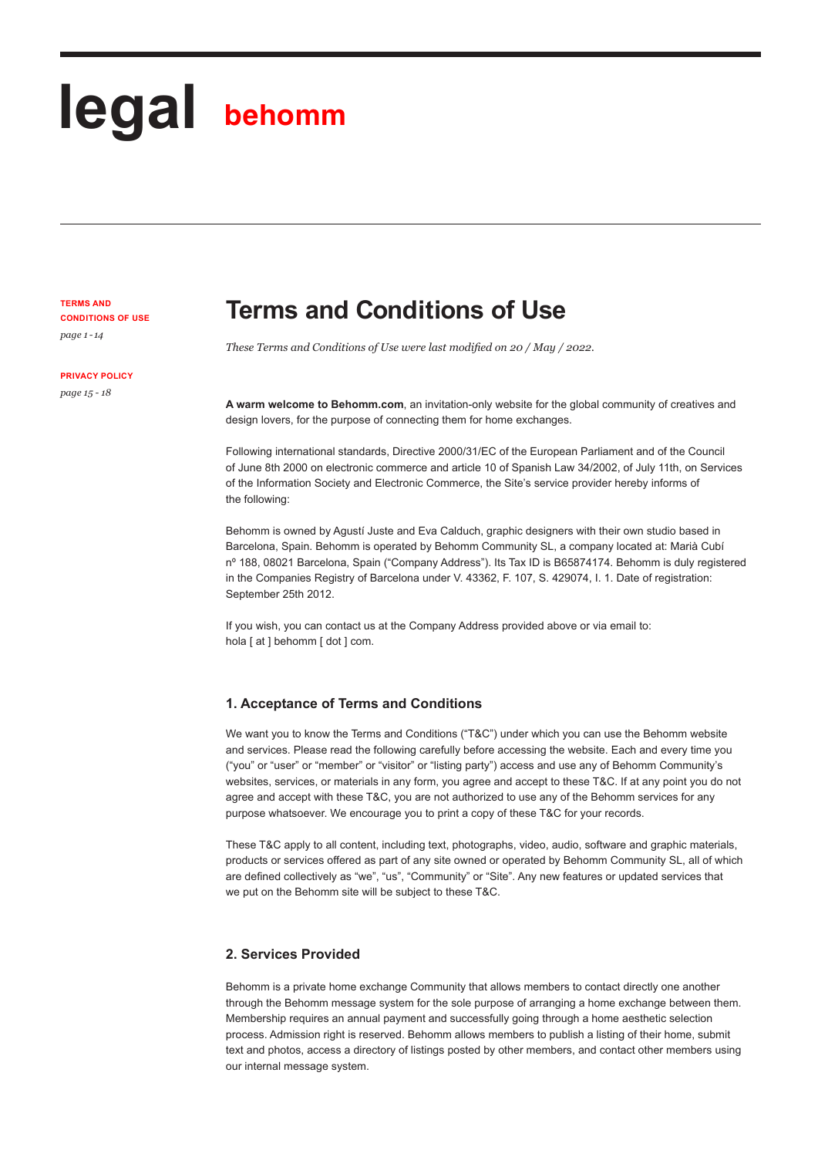# **legal behomm**

**TERMS AND CONDITIONS OF USE**  *page 1 - 14*

**PRIVACY POLICY** 

*page 15 - 18*

# **Terms and Conditions of Use**

*These Terms and Conditions of Use were last modified on 20 / May / 2022.*

**A warm welcome to Behomm.com**, an invitation-only website for the global community of creatives and design lovers, for the purpose of connecting them for home exchanges.

Following international standards, Directive 2000/31/EC of the European Parliament and of the Council of June 8th 2000 on electronic commerce and article 10 of Spanish Law 34/2002, of July 11th, on Services of the Information Society and Electronic Commerce, the Site's service provider hereby informs of the following:

Behomm is owned by Agustí Juste and Eva Calduch, graphic designers with their own studio based in Barcelona, Spain. Behomm is operated by Behomm Community SL, a company located at: Marià Cubí nº 188, 08021 Barcelona, Spain ("Company Address"). Its Tax ID is B65874174. Behomm is duly registered in the Companies Registry of Barcelona under V. 43362, F. 107, S. 429074, I. 1. Date of registration: September 25th 2012.

If you wish, you can contact us at the Company Address provided above or via email to: hola [ at ] behomm [ dot ] com.

# **1. Acceptance of Terms and Conditions**

We want you to know the Terms and Conditions ("T&C") under which you can use the Behomm website and services. Please read the following carefully before accessing the website. Each and every time you ("you" or "user" or "member" or "visitor" or "listing party") access and use any of Behomm Community's websites, services, or materials in any form, you agree and accept to these T&C. If at any point you do not agree and accept with these T&C, you are not authorized to use any of the Behomm services for any purpose whatsoever. We encourage you to print a copy of these T&C for your records.

These T&C apply to all content, including text, photographs, video, audio, software and graphic materials, products or services offered as part of any site owned or operated by Behomm Community SL, all of which are defined collectively as "we", "us", "Community" or "Site". Any new features or updated services that we put on the Behomm site will be subject to these T&C.

# **2. Services Provided**

Behomm is a private home exchange Community that allows members to contact directly one another through the Behomm message system for the sole purpose of arranging a home exchange between them. Membership requires an annual payment and successfully going through a home aesthetic selection process. Admission right is reserved. Behomm allows members to publish a listing of their home, submit text and photos, access a directory of listings posted by other members, and contact other members using our internal message system.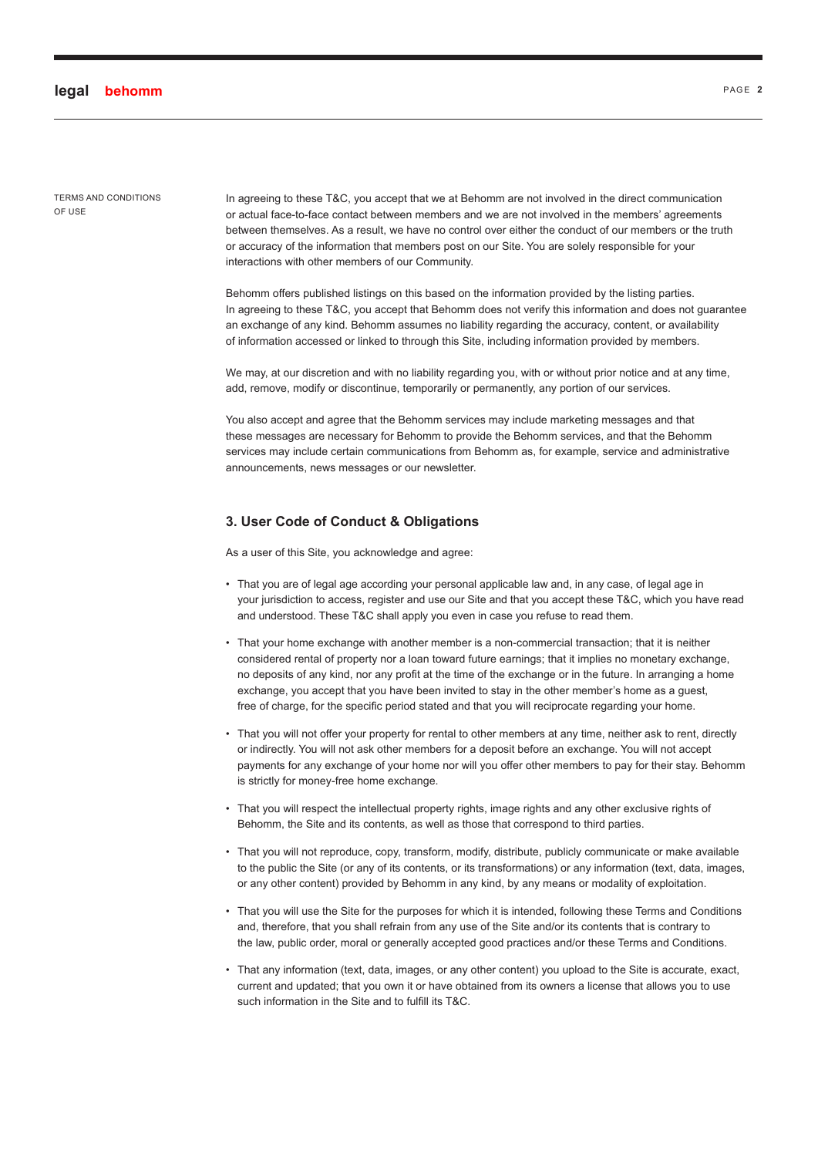TERMS AND CONDITIONS OF USE

In agreeing to these T&C, you accept that we at Behomm are not involved in the direct communication or actual face-to-face contact between members and we are not involved in the members' agreements between themselves. As a result, we have no control over either the conduct of our members or the truth or accuracy of the information that members post on our Site. You are solely responsible for your interactions with other members of our Community.

Behomm offers published listings on this based on the information provided by the listing parties. In agreeing to these T&C, you accept that Behomm does not verify this information and does not guarantee an exchange of any kind. Behomm assumes no liability regarding the accuracy, content, or availability of information accessed or linked to through this Site, including information provided by members.

We may, at our discretion and with no liability regarding you, with or without prior notice and at any time, add, remove, modify or discontinue, temporarily or permanently, any portion of our services.

You also accept and agree that the Behomm services may include marketing messages and that these messages are necessary for Behomm to provide the Behomm services, and that the Behomm services may include certain communications from Behomm as, for example, service and administrative announcements, news messages or our newsletter.

## **3. User Code of Conduct & Obligations**

As a user of this Site, you acknowledge and agree:

- That you are of legal age according your personal applicable law and, in any case, of legal age in your jurisdiction to access, register and use our Site and that you accept these T&C, which you have read and understood. These T&C shall apply you even in case you refuse to read them.
- That your home exchange with another member is a non-commercial transaction; that it is neither considered rental of property nor a loan toward future earnings; that it implies no monetary exchange, no deposits of any kind, nor any profit at the time of the exchange or in the future. In arranging a home exchange, you accept that you have been invited to stay in the other member's home as a guest, free of charge, for the specific period stated and that you will reciprocate regarding your home.
- That you will not offer your property for rental to other members at any time, neither ask to rent, directly or indirectly. You will not ask other members for a deposit before an exchange. You will not accept payments for any exchange of your home nor will you offer other members to pay for their stay. Behomm is strictly for money-free home exchange.
- That you will respect the intellectual property rights, image rights and any other exclusive rights of Behomm, the Site and its contents, as well as those that correspond to third parties.
- That you will not reproduce, copy, transform, modify, distribute, publicly communicate or make available to the public the Site (or any of its contents, or its transformations) or any information (text, data, images, or any other content) provided by Behomm in any kind, by any means or modality of exploitation.
- That you will use the Site for the purposes for which it is intended, following these Terms and Conditions and, therefore, that you shall refrain from any use of the Site and/or its contents that is contrary to the law, public order, moral or generally accepted good practices and/or these Terms and Conditions.
- That any information (text, data, images, or any other content) you upload to the Site is accurate, exact, current and updated; that you own it or have obtained from its owners a license that allows you to use such information in the Site and to fulfill its T&C.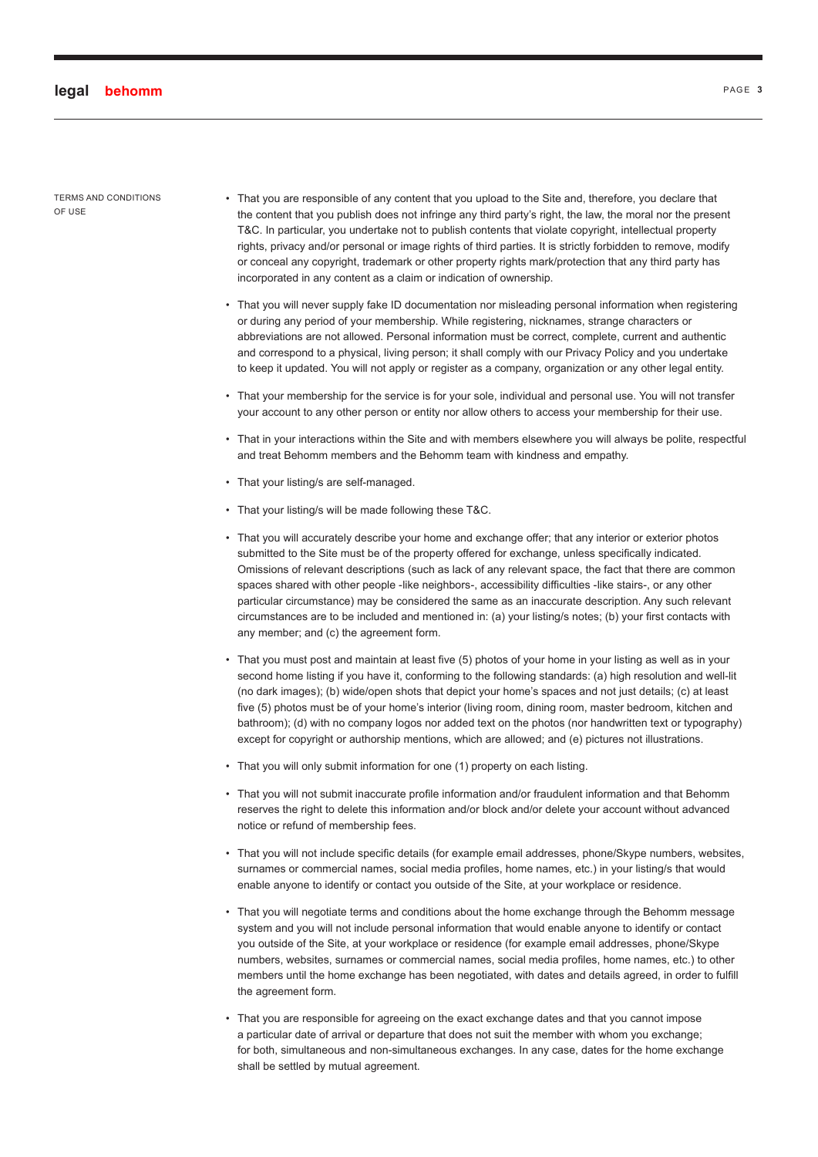TERMS AND CONDITIONS OF USE

- That you are responsible of any content that you upload to the Site and, therefore, you declare that the content that you publish does not infringe any third party's right, the law, the moral nor the present T&C. In particular, you undertake not to publish contents that violate copyright, intellectual property rights, privacy and/or personal or image rights of third parties. It is strictly forbidden to remove, modify or conceal any copyright, trademark or other property rights mark/protection that any third party has incorporated in any content as a claim or indication of ownership.
- That you will never supply fake ID documentation nor misleading personal information when registering or during any period of your membership. While registering, nicknames, strange characters or abbreviations are not allowed. Personal information must be correct, complete, current and authentic and correspond to a physical, living person; it shall comply with our Privacy Policy and you undertake to keep it updated. You will not apply or register as a company, organization or any other legal entity.
- That your membership for the service is for your sole, individual and personal use. You will not transfer your account to any other person or entity nor allow others to access your membership for their use.
- That in your interactions within the Site and with members elsewhere you will always be polite, respectful and treat Behomm members and the Behomm team with kindness and empathy.
- That your listing/s are self-managed.
- That your listing/s will be made following these T&C.
- That you will accurately describe your home and exchange offer; that any interior or exterior photos submitted to the Site must be of the property offered for exchange, unless specifically indicated. Omissions of relevant descriptions (such as lack of any relevant space, the fact that there are common spaces shared with other people -like neighbors-, accessibility difficulties -like stairs-, or any other particular circumstance) may be considered the same as an inaccurate description. Any such relevant circumstances are to be included and mentioned in: (a) your listing/s notes; (b) your first contacts with any member; and (c) the agreement form.
- That you must post and maintain at least five (5) photos of your home in your listing as well as in your second home listing if you have it, conforming to the following standards: (a) high resolution and well-lit (no dark images); (b) wide/open shots that depict your home's spaces and not just details; (c) at least five (5) photos must be of your home's interior (living room, dining room, master bedroom, kitchen and bathroom); (d) with no company logos nor added text on the photos (nor handwritten text or typography) except for copyright or authorship mentions, which are allowed; and (e) pictures not illustrations.
- That you will only submit information for one (1) property on each listing.
- That you will not submit inaccurate profile information and/or fraudulent information and that Behomm reserves the right to delete this information and/or block and/or delete your account without advanced notice or refund of membership fees.
- That you will not include specific details (for example email addresses, phone/Skype numbers, websites, surnames or commercial names, social media profiles, home names, etc.) in your listing/s that would enable anyone to identify or contact you outside of the Site, at your workplace or residence.
- That you will negotiate terms and conditions about the home exchange through the Behomm message system and you will not include personal information that would enable anyone to identify or contact you outside of the Site, at your workplace or residence (for example email addresses, phone/Skype numbers, websites, surnames or commercial names, social media profiles, home names, etc.) to other members until the home exchange has been negotiated, with dates and details agreed, in order to fulfill the agreement form.
- That you are responsible for agreeing on the exact exchange dates and that you cannot impose a particular date of arrival or departure that does not suit the member with whom you exchange; for both, simultaneous and non-simultaneous exchanges. In any case, dates for the home exchange shall be settled by mutual agreement.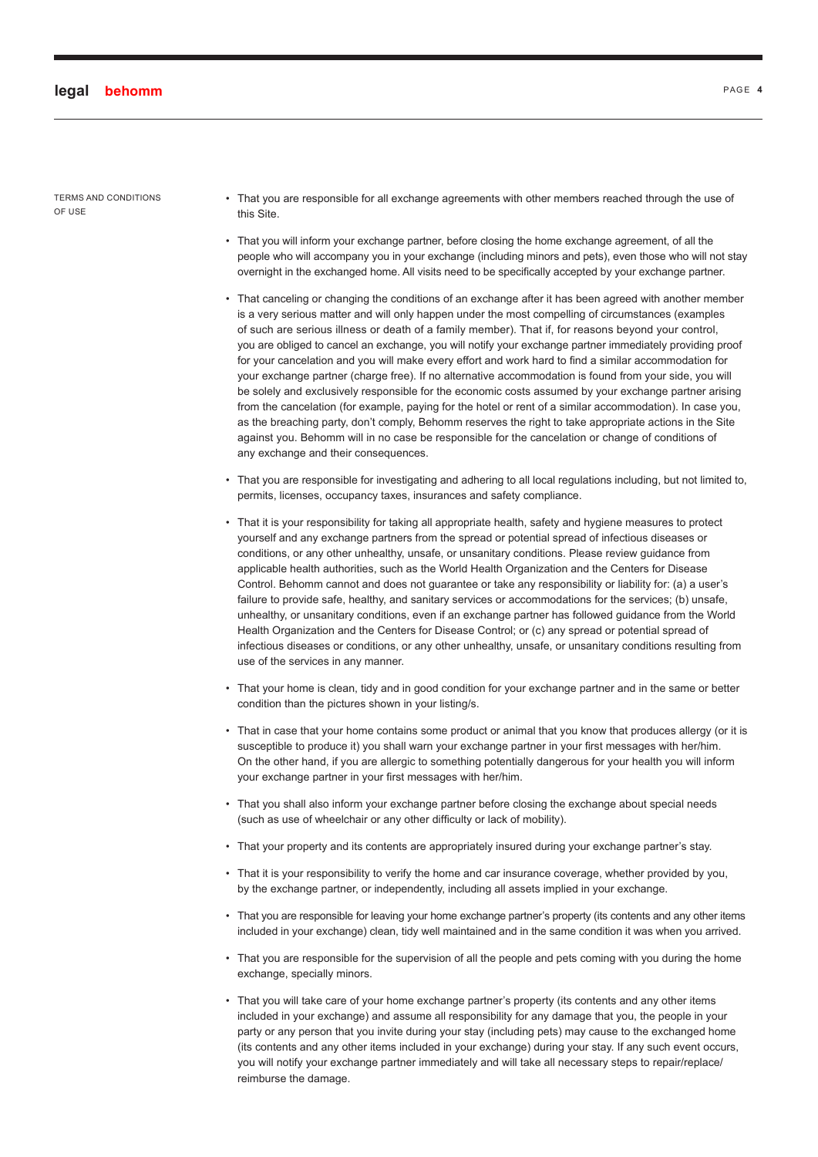- That you are responsible for all exchange agreements with other members reached through the use of this Site.
- That you will inform your exchange partner, before closing the home exchange agreement, of all the people who will accompany you in your exchange (including minors and pets), even those who will not stay overnight in the exchanged home. All visits need to be specifically accepted by your exchange partner.
- That canceling or changing the conditions of an exchange after it has been agreed with another member is a very serious matter and will only happen under the most compelling of circumstances (examples of such are serious illness or death of a family member). That if, for reasons beyond your control, you are obliged to cancel an exchange, you will notify your exchange partner immediately providing proof for your cancelation and you will make every effort and work hard to find a similar accommodation for your exchange partner (charge free). If no alternative accommodation is found from your side, you will be solely and exclusively responsible for the economic costs assumed by your exchange partner arising from the cancelation (for example, paying for the hotel or rent of a similar accommodation). In case you, as the breaching party, don't comply, Behomm reserves the right to take appropriate actions in the Site against you. Behomm will in no case be responsible for the cancelation or change of conditions of any exchange and their consequences.
- That you are responsible for investigating and adhering to all local regulations including, but not limited to, permits, licenses, occupancy taxes, insurances and safety compliance.
- That it is your responsibility for taking all appropriate health, safety and hygiene measures to protect yourself and any exchange partners from the spread or potential spread of infectious diseases or conditions, or any other unhealthy, unsafe, or unsanitary conditions. Please review guidance from applicable health authorities, such as the World Health Organization and the Centers for Disease Control. Behomm cannot and does not guarantee or take any responsibility or liability for: (a) a user's failure to provide safe, healthy, and sanitary services or accommodations for the services; (b) unsafe, unhealthy, or unsanitary conditions, even if an exchange partner has followed guidance from the World Health Organization and the Centers for Disease Control; or (c) any spread or potential spread of infectious diseases or conditions, or any other unhealthy, unsafe, or unsanitary conditions resulting from use of the services in any manner.
- That your home is clean, tidy and in good condition for your exchange partner and in the same or better condition than the pictures shown in your listing/s.
- That in case that your home contains some product or animal that you know that produces allergy (or it is susceptible to produce it) you shall warn your exchange partner in your first messages with her/him. On the other hand, if you are allergic to something potentially dangerous for your health you will inform your exchange partner in your first messages with her/him.
- That you shall also inform your exchange partner before closing the exchange about special needs (such as use of wheelchair or any other difficulty or lack of mobility).
- That your property and its contents are appropriately insured during your exchange partner's stay.
- That it is your responsibility to verify the home and car insurance coverage, whether provided by you, by the exchange partner, or independently, including all assets implied in your exchange.
- That you are responsible for leaving your home exchange partner's property (its contents and any other items included in your exchange) clean, tidy well maintained and in the same condition it was when you arrived.
- That you are responsible for the supervision of all the people and pets coming with you during the home exchange, specially minors.
- That you will take care of your home exchange partner's property (its contents and any other items included in your exchange) and assume all responsibility for any damage that you, the people in your party or any person that you invite during your stay (including pets) may cause to the exchanged home (its contents and any other items included in your exchange) during your stay. If any such event occurs, you will notify your exchange partner immediately and will take all necessary steps to repair/replace/ reimburse the damage.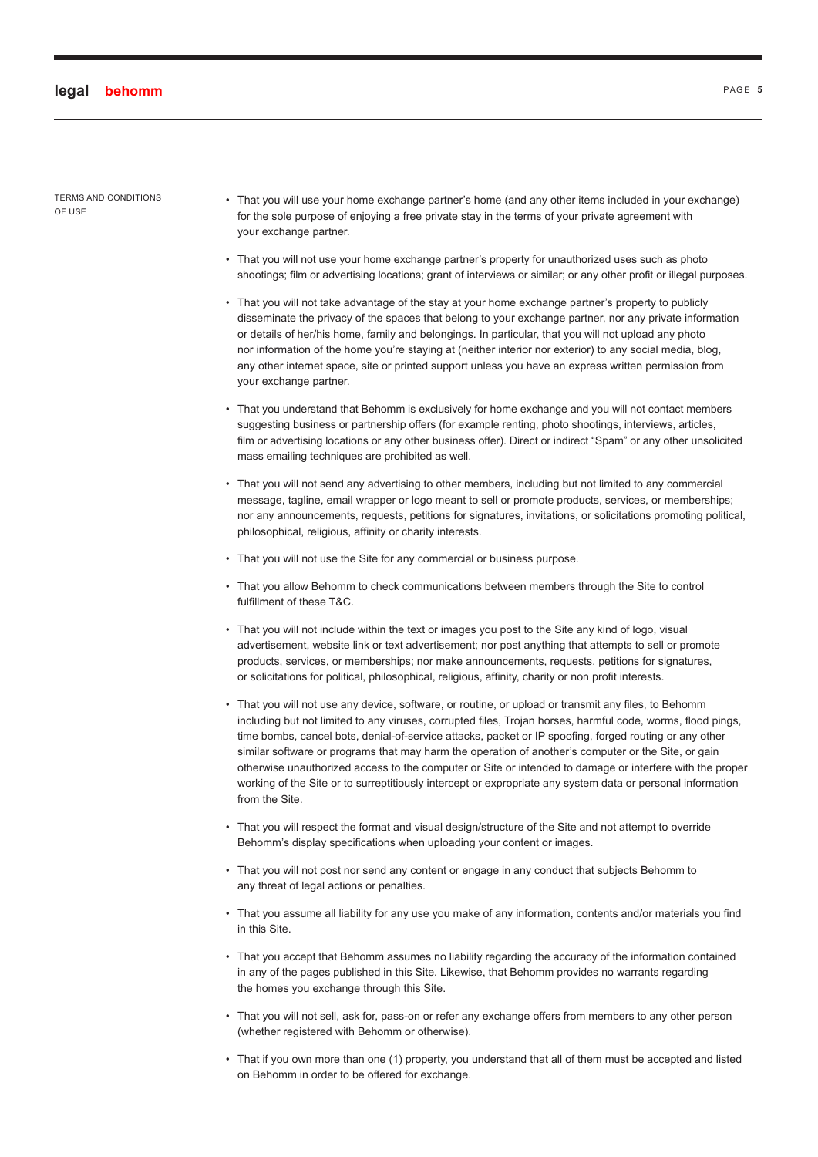- That you will use your home exchange partner's home (and any other items included in your exchange) for the sole purpose of enjoying a free private stay in the terms of your private agreement with your exchange partner.
- That you will not use your home exchange partner's property for unauthorized uses such as photo shootings; film or advertising locations; grant of interviews or similar; or any other profit or illegal purposes.
- That you will not take advantage of the stay at your home exchange partner's property to publicly disseminate the privacy of the spaces that belong to your exchange partner, nor any private information or details of her/his home, family and belongings. In particular, that you will not upload any photo nor information of the home you're staying at (neither interior nor exterior) to any social media, blog, any other internet space, site or printed support unless you have an express written permission from your exchange partner.
- That you understand that Behomm is exclusively for home exchange and you will not contact members suggesting business or partnership offers (for example renting, photo shootings, interviews, articles, film or advertising locations or any other business offer). Direct or indirect "Spam" or any other unsolicited mass emailing techniques are prohibited as well.
- That you will not send any advertising to other members, including but not limited to any commercial message, tagline, email wrapper or logo meant to sell or promote products, services, or memberships; nor any announcements, requests, petitions for signatures, invitations, or solicitations promoting political, philosophical, religious, affinity or charity interests.
- That you will not use the Site for any commercial or business purpose.
- That you allow Behomm to check communications between members through the Site to control fulfillment of these T&C.
- That you will not include within the text or images you post to the Site any kind of logo, visual advertisement, website link or text advertisement; nor post anything that attempts to sell or promote products, services, or memberships; nor make announcements, requests, petitions for signatures, or solicitations for political, philosophical, religious, affinity, charity or non profit interests.
- That you will not use any device, software, or routine, or upload or transmit any files, to Behomm including but not limited to any viruses, corrupted files, Trojan horses, harmful code, worms, flood pings, time bombs, cancel bots, denial-of-service attacks, packet or IP spoofing, forged routing or any other similar software or programs that may harm the operation of another's computer or the Site, or gain otherwise unauthorized access to the computer or Site or intended to damage or interfere with the proper working of the Site or to surreptitiously intercept or expropriate any system data or personal information from the Site.
- That you will respect the format and visual design/structure of the Site and not attempt to override Behomm's display specifications when uploading your content or images.
- That you will not post nor send any content or engage in any conduct that subjects Behomm to any threat of legal actions or penalties.
- That you assume all liability for any use you make of any information, contents and/or materials you find in this Site.
- That you accept that Behomm assumes no liability regarding the accuracy of the information contained in any of the pages published in this Site. Likewise, that Behomm provides no warrants regarding the homes you exchange through this Site.
- That you will not sell, ask for, pass-on or refer any exchange offers from members to any other person (whether registered with Behomm or otherwise).
- That if you own more than one (1) property, you understand that all of them must be accepted and listed on Behomm in order to be offered for exchange.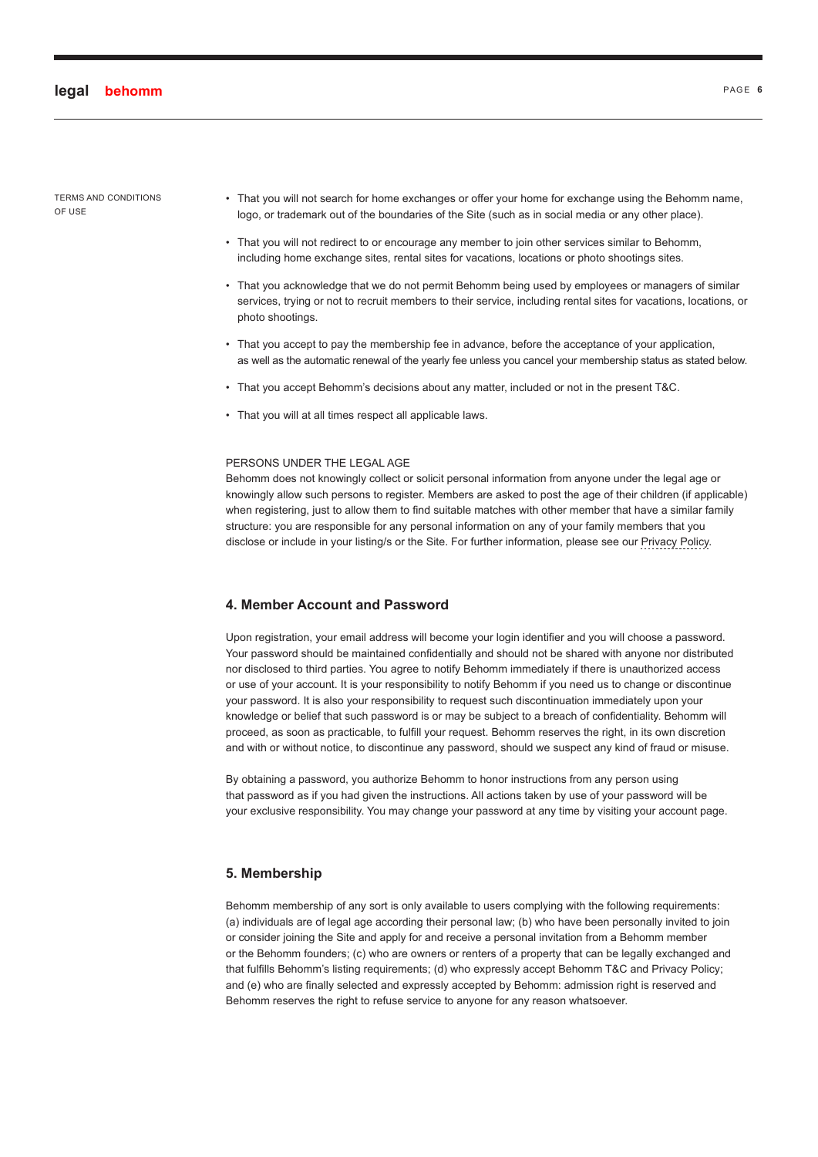- That you will not search for home exchanges or offer your home for exchange using the Behomm name, logo, or trademark out of the boundaries of the Site (such as in social media or any other place).
- That you will not redirect to or encourage any member to join other services similar to Behomm, including home exchange sites, rental sites for vacations, locations or photo shootings sites.
- That you acknowledge that we do not permit Behomm being used by employees or managers of similar services, trying or not to recruit members to their service, including rental sites for vacations, locations, or photo shootings.
- That you accept to pay the membership fee in advance, before the acceptance of your application, as well as the automatic renewal of the yearly fee unless you cancel your membership status as stated below.
- That you accept Behomm's decisions about any matter, included or not in the present T&C.
- That you will at all times respect all applicable laws.

#### PERSONS UNDER THE LEGAL AGE

Behomm does not knowingly collect or solicit personal information from anyone under the legal age or knowingly allow such persons to register. Members are asked to post the age of their children (if applicable) when registering, just to allow them to find suitable matches with other member that have a similar family structure: you are responsible for any personal information on any of your family members that you disclose or include in your listing/s or the Site. For further information, please see our [Privacy Policy.](#page-14-0)

#### **4. Member Account and Password**

Upon registration, your email address will become your login identifier and you will choose a password. Your password should be maintained confidentially and should not be shared with anyone nor distributed nor disclosed to third parties. You agree to notify Behomm immediately if there is unauthorized access or use of your account. It is your responsibility to notify Behomm if you need us to change or discontinue your password. It is also your responsibility to request such discontinuation immediately upon your knowledge or belief that such password is or may be subject to a breach of confidentiality. Behomm will proceed, as soon as practicable, to fulfill your request. Behomm reserves the right, in its own discretion and with or without notice, to discontinue any password, should we suspect any kind of fraud or misuse.

By obtaining a password, you authorize Behomm to honor instructions from any person using that password as if you had given the instructions. All actions taken by use of your password will be your exclusive responsibility. You may change your password at any time by visiting your account page.

#### **5. Membership**

Behomm membership of any sort is only available to users complying with the following requirements: (a) individuals are of legal age according their personal law; (b) who have been personally invited to join or consider joining the Site and apply for and receive a personal invitation from a Behomm member or the Behomm founders; (c) who are owners or renters of a property that can be legally exchanged and that fulfills Behomm's listing requirements; (d) who expressly accept Behomm T&C and Privacy Policy; and (e) who are finally selected and expressly accepted by Behomm: admission right is reserved and Behomm reserves the right to refuse service to anyone for any reason whatsoever.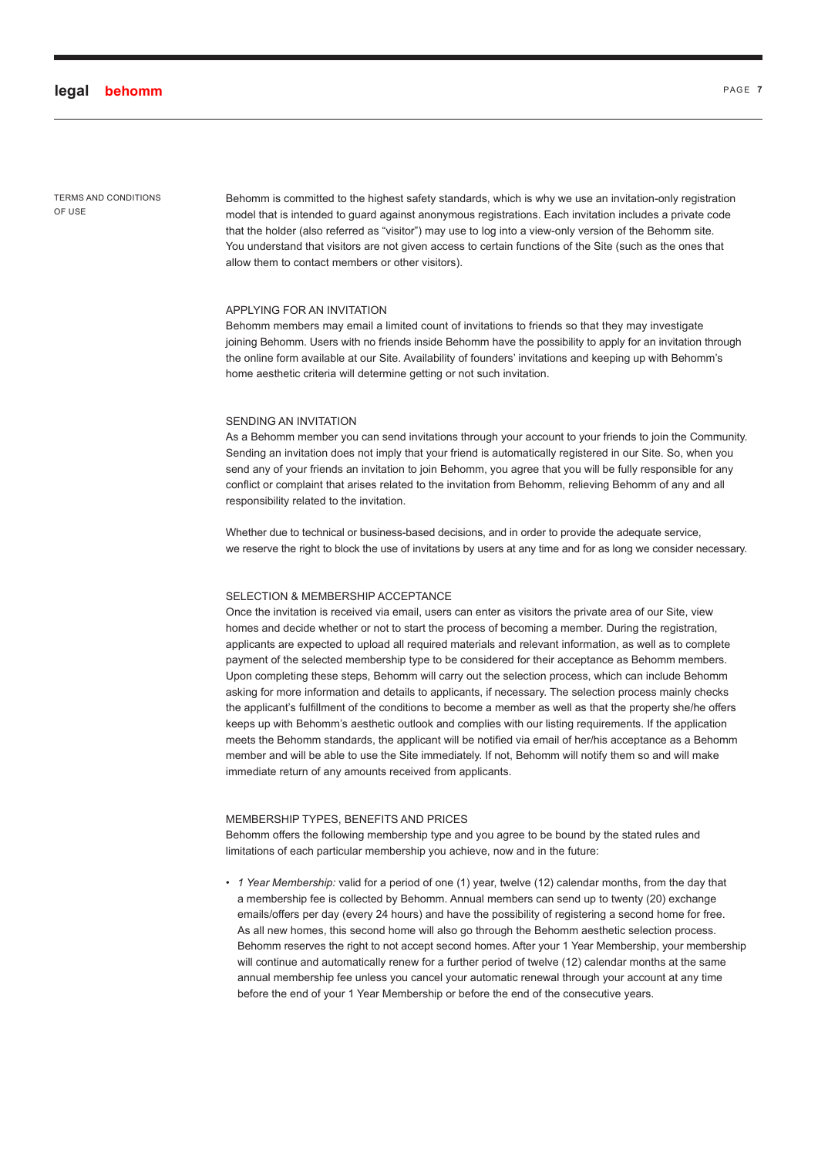TERMS AND CONDITIONS OF USE

Behomm is committed to the highest safety standards, which is why we use an invitation-only registration model that is intended to guard against anonymous registrations. Each invitation includes a private code that the holder (also referred as "visitor") may use to log into a view-only version of the Behomm site. You understand that visitors are not given access to certain functions of the Site (such as the ones that allow them to contact members or other visitors).

#### APPLYING FOR AN INVITATION

Behomm members may email a limited count of invitations to friends so that they may investigate joining Behomm. Users with no friends inside Behomm have the possibility to apply for an invitation through the online form available at our Site. Availability of founders' invitations and keeping up with Behomm's home aesthetic criteria will determine getting or not such invitation.

#### SENDING AN INVITATION

As a Behomm member you can send invitations through your account to your friends to join the Community. Sending an invitation does not imply that your friend is automatically registered in our Site. So, when you send any of your friends an invitation to join Behomm, you agree that you will be fully responsible for any conflict or complaint that arises related to the invitation from Behomm, relieving Behomm of any and all responsibility related to the invitation.

Whether due to technical or business-based decisions, and in order to provide the adequate service, we reserve the right to block the use of invitations by users at any time and for as long we consider necessary.

#### SELECTION & MEMBERSHIP ACCEPTANCE

Once the invitation is received via email, users can enter as visitors the private area of our Site, view homes and decide whether or not to start the process of becoming a member. During the registration, applicants are expected to upload all required materials and relevant information, as well as to complete payment of the selected membership type to be considered for their acceptance as Behomm members. Upon completing these steps, Behomm will carry out the selection process, which can include Behomm asking for more information and details to applicants, if necessary. The selection process mainly checks the applicant's fulfillment of the conditions to become a member as well as that the property she/he offers keeps up with Behomm's aesthetic outlook and complies with our listing requirements. If the application meets the Behomm standards, the applicant will be notified via email of her/his acceptance as a Behomm member and will be able to use the Site immediately. If not, Behomm will notify them so and will make immediate return of any amounts received from applicants.

#### MEMBERSHIP TYPES, BENEFITS AND PRICES

Behomm offers the following membership type and you agree to be bound by the stated rules and limitations of each particular membership you achieve, now and in the future:

• *1 Year Membership:* valid for a period of one (1) year, twelve (12) calendar months, from the day that a membership fee is collected by Behomm. Annual members can send up to twenty (20) exchange emails/offers per day (every 24 hours) and have the possibility of registering a second home for free. As all new homes, this second home will also go through the Behomm aesthetic selection process. Behomm reserves the right to not accept second homes. After your 1 Year Membership, your membership will continue and automatically renew for a further period of twelve (12) calendar months at the same annual membership fee unless you cancel your automatic renewal through your account at any time before the end of your 1 Year Membership or before the end of the consecutive years.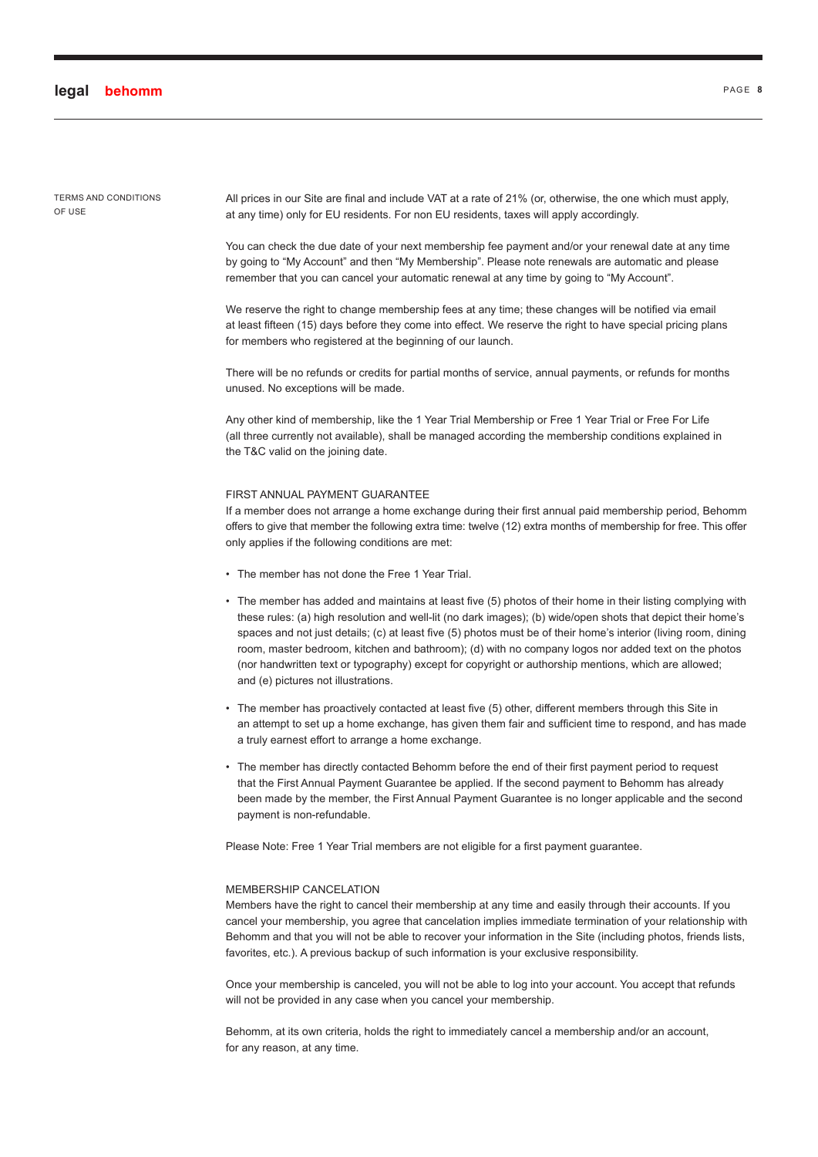TERMS AND CONDITIONS OF USE

All prices in our Site are final and include VAT at a rate of 21% (or, otherwise, the one which must apply, at any time) only for EU residents. For non EU residents, taxes will apply accordingly.

You can check the due date of your next membership fee payment and/or your renewal date at any time by going to "My Account" and then "My Membership". Please note renewals are automatic and please remember that you can cancel your automatic renewal at any time by going to "My Account".

We reserve the right to change membership fees at any time; these changes will be notified via email at least fifteen (15) days before they come into effect. We reserve the right to have special pricing plans for members who registered at the beginning of our launch.

There will be no refunds or credits for partial months of service, annual payments, or refunds for months unused. No exceptions will be made.

Any other kind of membership, like the 1 Year Trial Membership or Free 1 Year Trial or Free For Life (all three currently not available), shall be managed according the membership conditions explained in the T&C valid on the joining date.

#### FIRST ANNUAL PAYMENT GUARANTEE

If a member does not arrange a home exchange during their first annual paid membership period, Behomm offers to give that member the following extra time: twelve (12) extra months of membership for free. This offer only applies if the following conditions are met:

- The member has not done the Free 1 Year Trial.
- The member has added and maintains at least five (5) photos of their home in their listing complying with these rules: (a) high resolution and well-lit (no dark images); (b) wide/open shots that depict their home's spaces and not just details; (c) at least five (5) photos must be of their home's interior (living room, dining room, master bedroom, kitchen and bathroom); (d) with no company logos nor added text on the photos (nor handwritten text or typography) except for copyright or authorship mentions, which are allowed; and (e) pictures not illustrations.
- The member has proactively contacted at least five (5) other, different members through this Site in an attempt to set up a home exchange, has given them fair and sufficient time to respond, and has made a truly earnest effort to arrange a home exchange.
- The member has directly contacted Behomm before the end of their first payment period to request that the First Annual Payment Guarantee be applied. If the second payment to Behomm has already been made by the member, the First Annual Payment Guarantee is no longer applicable and the second payment is non-refundable.

Please Note: Free 1 Year Trial members are not eligible for a first payment guarantee.

#### MEMBERSHIP CANCELATION

Members have the right to cancel their membership at any time and easily through their accounts. If you cancel your membership, you agree that cancelation implies immediate termination of your relationship with Behomm and that you will not be able to recover your information in the Site (including photos, friends lists, favorites, etc.). A previous backup of such information is your exclusive responsibility.

Once your membership is canceled, you will not be able to log into your account. You accept that refunds will not be provided in any case when you cancel your membership.

Behomm, at its own criteria, holds the right to immediately cancel a membership and/or an account, for any reason, at any time.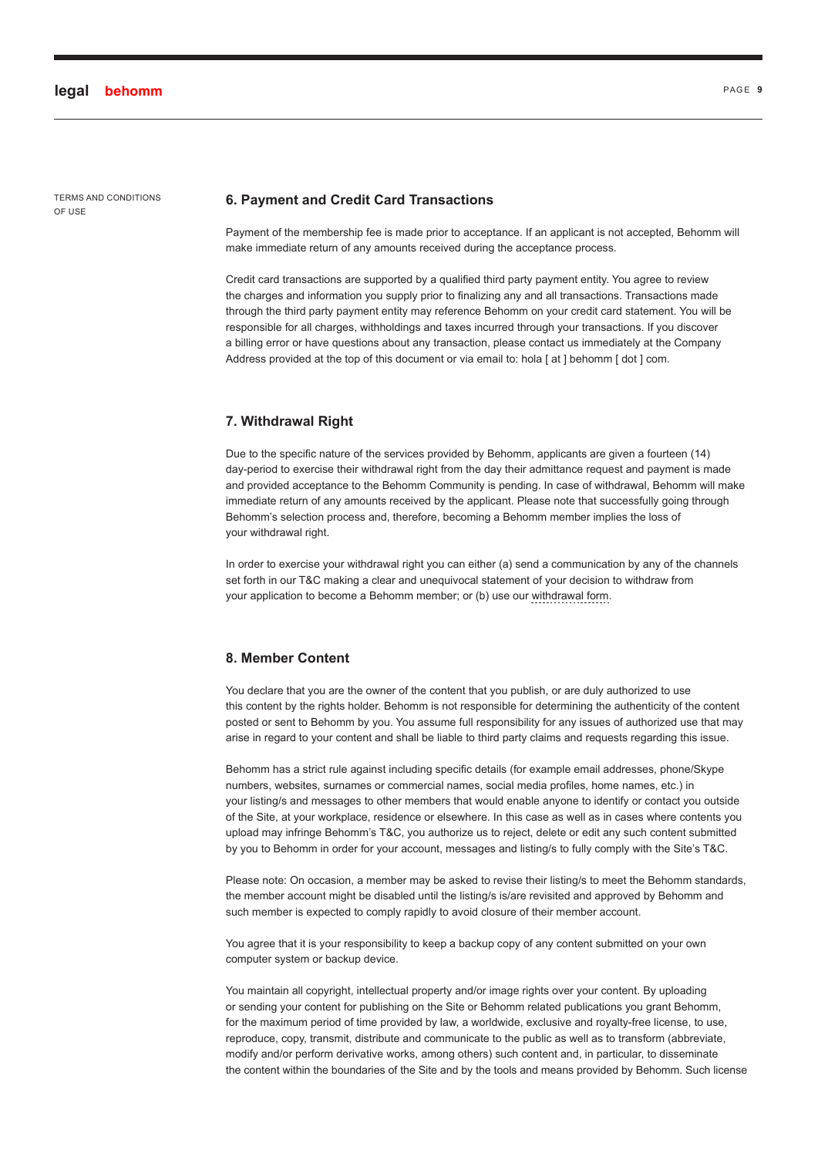#### **6. Payment and Credit Card Transactions**

Payment of the membership fee is made prior to acceptance. If an applicant is not accepted, Behomm will make immediate return of any amounts received during the acceptance process.

Credit card transactions are supported by a qualified third party payment entity. You agree to review the charges and information you supply prior to finalizing any and all transactions. Transactions made through the third party payment entity may reference Behomm on your credit card statement. You will be responsible for all charges, withholdings and taxes incurred through your transactions. If you discover a billing error or have questions about any transaction, please contact us immediately at the Company Address provided at the top of this document or via email to: hola [ at ] behomm [ dot ] com.

#### **7. Withdrawal Right**

Due to the specific nature of the services provided by Behomm, applicants are given a fourteen (14) day-period to exercise their withdrawal right from the day their admittance request and payment is made and provided acceptance to the Behomm Community is pending. In case of withdrawal, Behomm will make immediate return of any amounts received by the applicant. Please note that successfully going through Behomm's selection process and, therefore, becoming a Behomm member implies the loss of your withdrawal right.

In order to exercise your withdrawal right you can either (a) send a communication by any of the channels set forth in our T&C making a clear and unequivocal statement of your decision to withdraw from your application to become a Behomm member; or (b) use our withdrawal form.

# **8. Member Content**

You declare that you are the owner of the content that you publish, or are duly authorized to use this content by the rights holder. Behomm is not responsible for determining the authenticity of the content posted or sent to Behomm by you. You assume full responsibility for any issues of authorized use that may arise in regard to your content and shall be liable to third party claims and requests regarding this issue.

Behomm has a strict rule against including specific details (for example email addresses, phone/Skype numbers, websites, surnames or commercial names, social media profiles, home names, etc.) in your listing/s and messages to other members that would enable anyone to identify or contact you outside of the Site, at your workplace, residence or elsewhere. In this case as well as in cases where contents you upload may infringe Behomm's T&C, you authorize us to reject, delete or edit any such content submitted by you to Behomm in order for your account, messages and listing/s to fully comply with the Site's T&C.

Please note: On occasion, a member may be asked to revise their listing/s to meet the Behomm standards, the member account might be disabled until the listing/s is/are revisited and approved by Behomm and such member is expected to comply rapidly to avoid closure of their member account.

You agree that it is your responsibility to keep a backup copy of any content submitted on your own computer system or backup device.

You maintain all copyright, intellectual property and/or image rights over your content. By uploading or sending your content for publishing on the Site or Behomm related publications you grant Behomm, for the maximum period of time provided by law, a worldwide, exclusive and royalty-free license, to use, reproduce, copy, transmit, distribute and communicate to the public as well as to transform (abbreviate, modify and/or perform derivative works, among others) such content and, in particular, to disseminate the content within the boundaries of the Site and by the tools and means provided by Behomm. Such license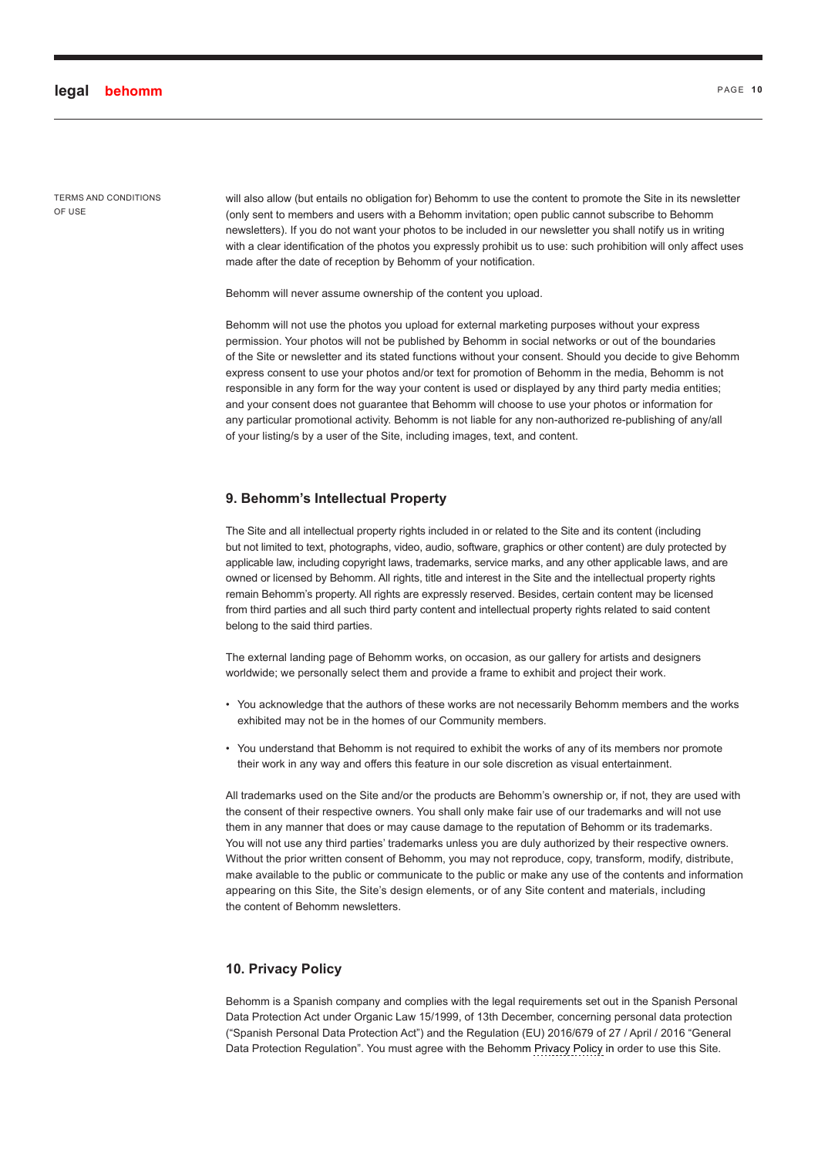will also allow (but entails no obligation for) Behomm to use the content to promote the Site in its newsletter (only sent to members and users with a Behomm invitation; open public cannot subscribe to Behomm newsletters). If you do not want your photos to be included in our newsletter you shall notify us in writing with a clear identification of the photos you expressly prohibit us to use: such prohibition will only affect uses made after the date of reception by Behomm of your notification.

Behomm will never assume ownership of the content you upload.

Behomm will not use the photos you upload for external marketing purposes without your express permission. Your photos will not be published by Behomm in social networks or out of the boundaries of the Site or newsletter and its stated functions without your consent. Should you decide to give Behomm express consent to use your photos and/or text for promotion of Behomm in the media, Behomm is not responsible in any form for the way your content is used or displayed by any third party media entities; and your consent does not guarantee that Behomm will choose to use your photos or information for any particular promotional activity. Behomm is not liable for any non-authorized re-publishing of any/all of your listing/s by a user of the Site, including images, text, and content.

#### **9. Behomm's Intellectual Property**

The Site and all intellectual property rights included in or related to the Site and its content (including but not limited to text, photographs, video, audio, software, graphics or other content) are duly protected by applicable law, including copyright laws, trademarks, service marks, and any other applicable laws, and are owned or licensed by Behomm. All rights, title and interest in the Site and the intellectual property rights remain Behomm's property. All rights are expressly reserved. Besides, certain content may be licensed from third parties and all such third party content and intellectual property rights related to said content belong to the said third parties.

The external landing page of Behomm works, on occasion, as our gallery for artists and designers worldwide; we personally select them and provide a frame to exhibit and project their work.

- You acknowledge that the authors of these works are not necessarily Behomm members and the works exhibited may not be in the homes of our Community members.
- You understand that Behomm is not required to exhibit the works of any of its members nor promote their work in any way and offers this feature in our sole discretion as visual entertainment.

All trademarks used on the Site and/or the products are Behomm's ownership or, if not, they are used with the consent of their respective owners. You shall only make fair use of our trademarks and will not use them in any manner that does or may cause damage to the reputation of Behomm or its trademarks. You will not use any third parties' trademarks unless you are duly authorized by their respective owners. Without the prior written consent of Behomm, you may not reproduce, copy, transform, modify, distribute, make available to the public or communicate to the public or make any use of the contents and information appearing on this Site, the Site's design elements, or of any Site content and materials, including the content of Behomm newsletters.

# **10. Privacy Policy**

Behomm is a Spanish company and complies with the legal requirements set out in the Spanish Personal Data Protection Act under Organic Law 15/1999, of 13th December, concerning personal data protection ("Spanish Personal Data Protection Act") and the Regulation (EU) 2016/679 of 27 / April / 2016 "General Data Protection Regulation". You must agree with the Behomm [Privacy Policy](#page-14-0) in order to use this Site.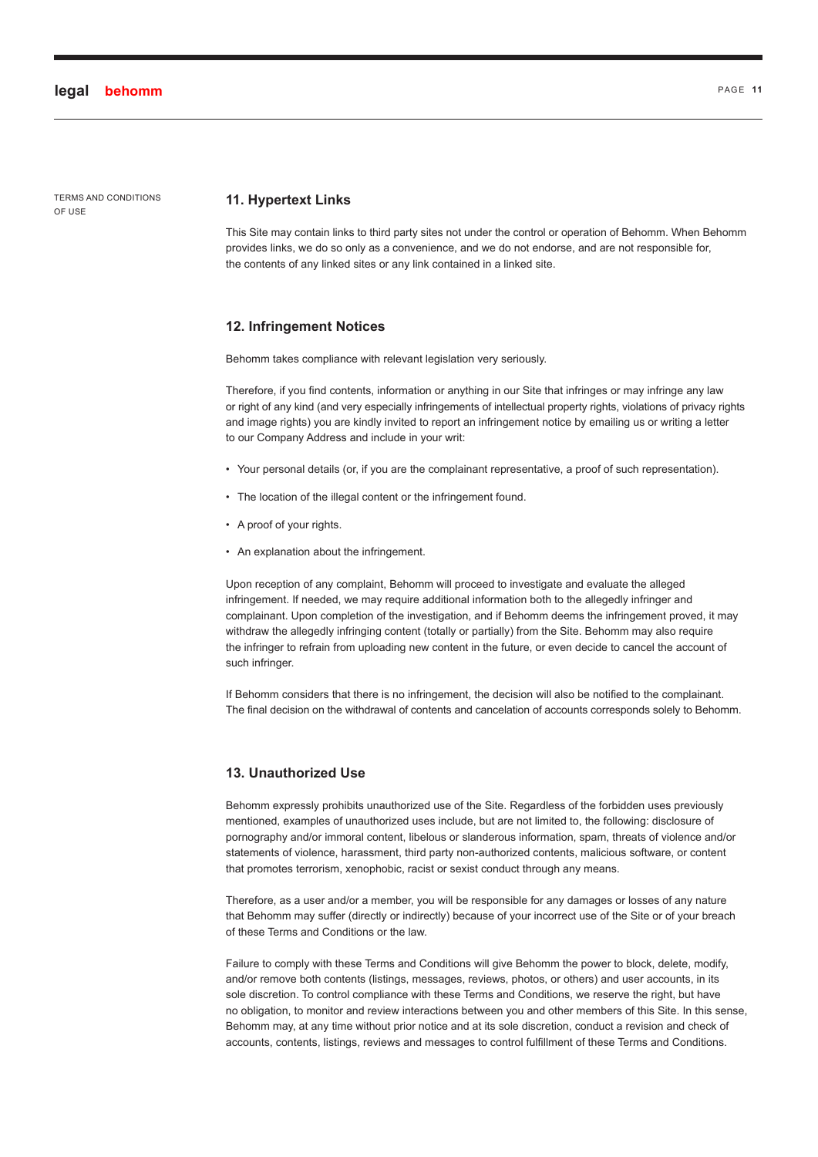TERMS AND CONDITIONS OF USE

#### **11. Hypertext Links**

This Site may contain links to third party sites not under the control or operation of Behomm. When Behomm provides links, we do so only as a convenience, and we do not endorse, and are not responsible for, the contents of any linked sites or any link contained in a linked site.

#### **12. Infringement Notices**

Behomm takes compliance with relevant legislation very seriously.

Therefore, if you find contents, information or anything in our Site that infringes or may infringe any law or right of any kind (and very especially infringements of intellectual property rights, violations of privacy rights and image rights) you are kindly invited to report an infringement notice by emailing us or writing a letter to our Company Address and include in your writ:

- Your personal details (or, if you are the complainant representative, a proof of such representation).
- The location of the illegal content or the infringement found.
- A proof of your rights.
- An explanation about the infringement.

Upon reception of any complaint, Behomm will proceed to investigate and evaluate the alleged infringement. If needed, we may require additional information both to the allegedly infringer and complainant. Upon completion of the investigation, and if Behomm deems the infringement proved, it may withdraw the allegedly infringing content (totally or partially) from the Site. Behomm may also require the infringer to refrain from uploading new content in the future, or even decide to cancel the account of such infringer.

If Behomm considers that there is no infringement, the decision will also be notified to the complainant. The final decision on the withdrawal of contents and cancelation of accounts corresponds solely to Behomm.

# **13. Unauthorized Use**

Behomm expressly prohibits unauthorized use of the Site. Regardless of the forbidden uses previously mentioned, examples of unauthorized uses include, but are not limited to, the following: disclosure of pornography and/or immoral content, libelous or slanderous information, spam, threats of violence and/or statements of violence, harassment, third party non-authorized contents, malicious software, or content that promotes terrorism, xenophobic, racist or sexist conduct through any means.

Therefore, as a user and/or a member, you will be responsible for any damages or losses of any nature that Behomm may suffer (directly or indirectly) because of your incorrect use of the Site or of your breach of these Terms and Conditions or the law.

Failure to comply with these Terms and Conditions will give Behomm the power to block, delete, modify, and/or remove both contents (listings, messages, reviews, photos, or others) and user accounts, in its sole discretion. To control compliance with these Terms and Conditions, we reserve the right, but have no obligation, to monitor and review interactions between you and other members of this Site. In this sense, Behomm may, at any time without prior notice and at its sole discretion, conduct a revision and check of accounts, contents, listings, reviews and messages to control fulfillment of these Terms and Conditions.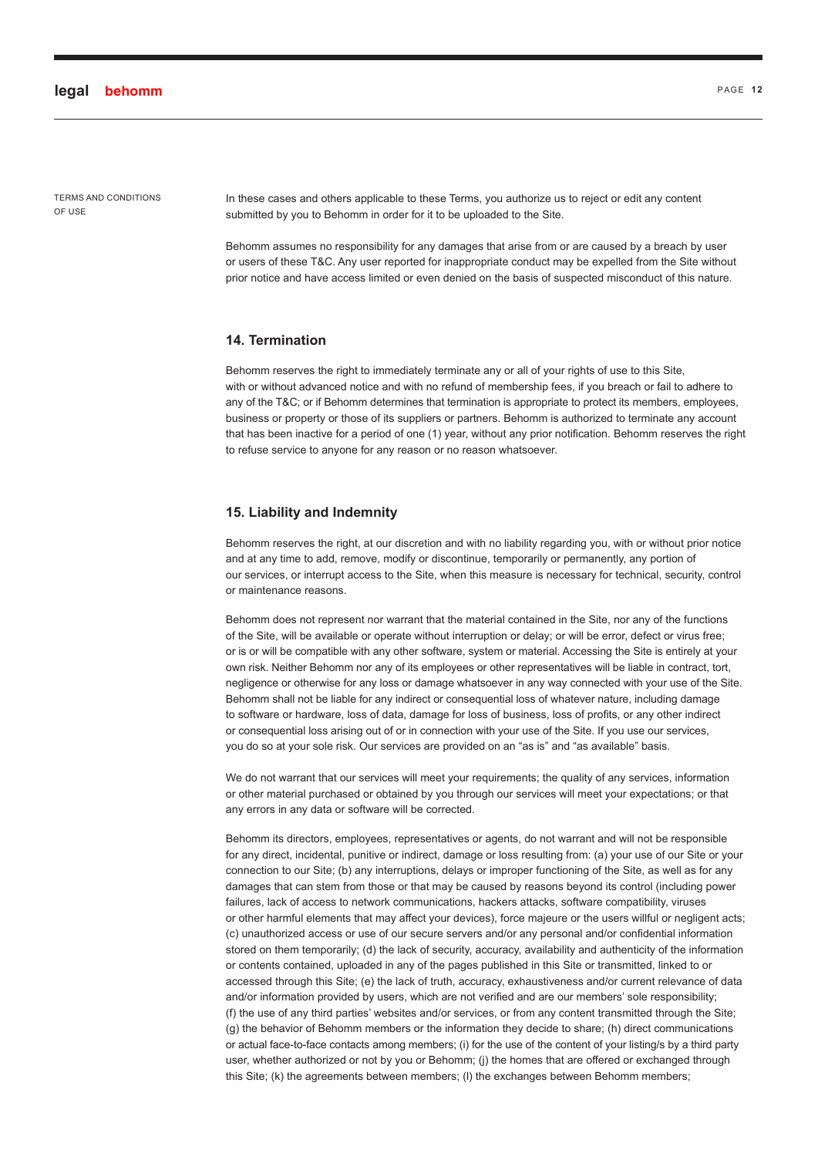In these cases and others applicable to these Terms, you authorize us to reject or edit any content submitted by you to Behomm in order for it to be uploaded to the Site.

Behomm assumes no responsibility for any damages that arise from or are caused by a breach by user or users of these T&C. Any user reported for inappropriate conduct may be expelled from the Site without prior notice and have access limited or even denied on the basis of suspected misconduct of this nature.

# **14. Termination**

Behomm reserves the right to immediately terminate any or all of your rights of use to this Site. with or without advanced notice and with no refund of membership fees, if you breach or fail to adhere to any of the T&C; or if Behomm determines that termination is appropriate to protect its members, employees, business or property or those of its suppliers or partners. Behomm is authorized to terminate any account that has been inactive for a period of one (1) year, without any prior notification. Behomm reserves the right to refuse service to anyone for any reason or no reason whatsoever.

#### **15. Liability and Indemnity**

Behomm reserves the right, at our discretion and with no liability regarding you, with or without prior notice and at any time to add, remove, modify or discontinue, temporarily or permanently, any portion of our services, or interrupt access to the Site, when this measure is necessary for technical, security, control or maintenance reasons.

Behomm does not represent nor warrant that the material contained in the Site, nor any of the functions of the Site, will be available or operate without interruption or delay; or will be error, defect or virus free; or is or will be compatible with any other software, system or material. Accessing the Site is entirely at your own risk. Neither Behomm nor any of its employees or other representatives will be liable in contract, tort, negligence or otherwise for any loss or damage whatsoever in any way connected with your use of the Site. Behomm shall not be liable for any indirect or consequential loss of whatever nature, including damage to software or hardware, loss of data, damage for loss of business, loss of profits, or any other indirect or consequential loss arising out of or in connection with your use of the Site. If you use our services, you do so at your sole risk. Our services are provided on an "as is" and "as available" basis.

We do not warrant that our services will meet your requirements; the quality of any services, information or other material purchased or obtained by you through our services will meet your expectations; or that any errors in any data or software will be corrected.

Behomm its directors, employees, representatives or agents, do not warrant and will not be responsible for any direct, incidental, punitive or indirect, damage or loss resulting from: (a) your use of our Site or your connection to our Site; (b) any interruptions, delays or improper functioning of the Site, as well as for any damages that can stem from those or that may be caused by reasons beyond its control (including power failures, lack of access to network communications, hackers attacks, software compatibility, viruses or other harmful elements that may affect your devices), force majeure or the users willful or negligent acts; (c) unauthorized access or use of our secure servers and/or any personal and/or confidential information stored on them temporarily; (d) the lack of security, accuracy, availability and authenticity of the information or contents contained, uploaded in any of the pages published in this Site or transmitted, linked to or accessed through this Site; (e) the lack of truth, accuracy, exhaustiveness and/or current relevance of data and/or information provided by users, which are not verified and are our members' sole responsibility; (f) the use of any third parties' websites and/or services, or from any content transmitted through the Site; (g) the behavior of Behomm members or the information they decide to share; (h) direct communications or actual face-to-face contacts among members; (i) for the use of the content of your listing/s by a third party user, whether authorized or not by you or Behomm; (j) the homes that are offered or exchanged through this Site; (k) the agreements between members; (l) the exchanges between Behomm members;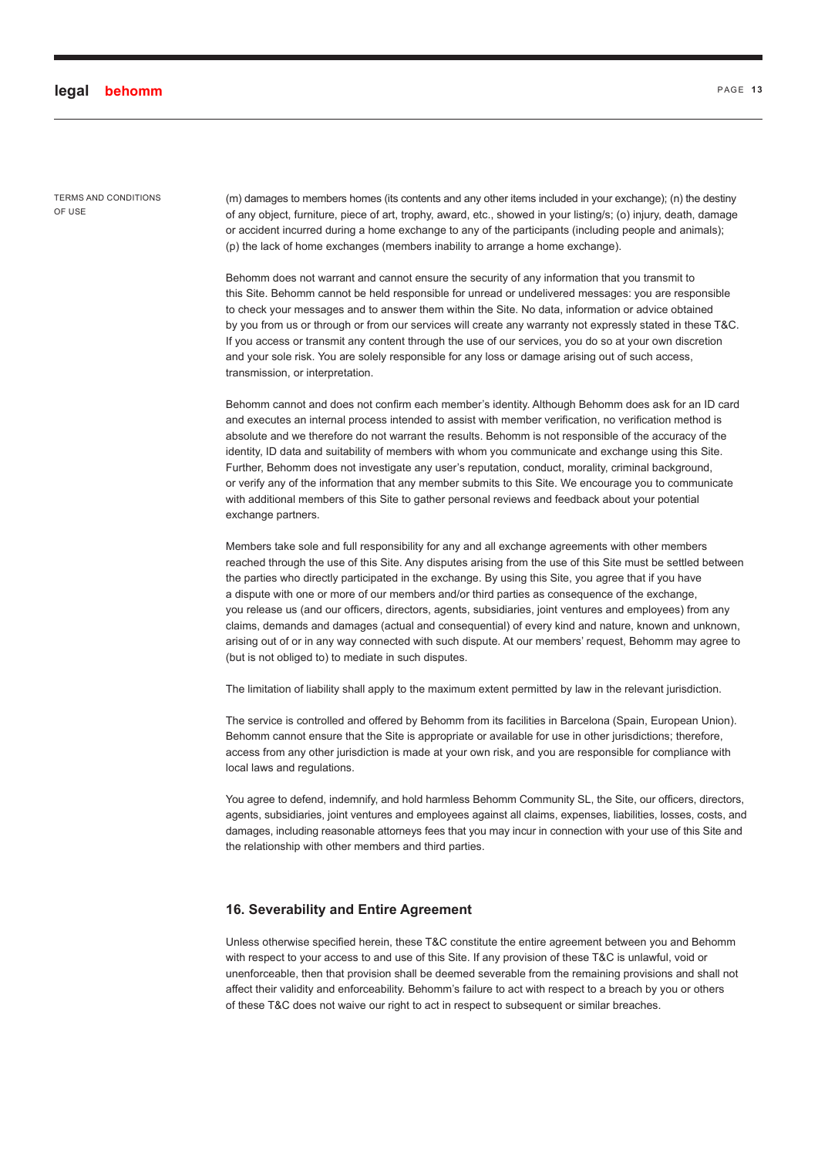TERMS AND CONDITIONS OF USE

(m) damages to members homes (its contents and any other items included in your exchange); (n) the destiny of any object, furniture, piece of art, trophy, award, etc., showed in your listing/s; (o) injury, death, damage or accident incurred during a home exchange to any of the participants (including people and animals); (p) the lack of home exchanges (members inability to arrange a home exchange).

Behomm does not warrant and cannot ensure the security of any information that you transmit to this Site. Behomm cannot be held responsible for unread or undelivered messages: you are responsible to check your messages and to answer them within the Site. No data, information or advice obtained by you from us or through or from our services will create any warranty not expressly stated in these T&C. If you access or transmit any content through the use of our services, you do so at your own discretion and your sole risk. You are solely responsible for any loss or damage arising out of such access, transmission, or interpretation.

Behomm cannot and does not confirm each member's identity. Although Behomm does ask for an ID card and executes an internal process intended to assist with member verification, no verification method is absolute and we therefore do not warrant the results. Behomm is not responsible of the accuracy of the identity, ID data and suitability of members with whom you communicate and exchange using this Site. Further, Behomm does not investigate any user's reputation, conduct, morality, criminal background, or verify any of the information that any member submits to this Site. We encourage you to communicate with additional members of this Site to gather personal reviews and feedback about your potential exchange partners.

Members take sole and full responsibility for any and all exchange agreements with other members reached through the use of this Site. Any disputes arising from the use of this Site must be settled between the parties who directly participated in the exchange. By using this Site, you agree that if you have a dispute with one or more of our members and/or third parties as consequence of the exchange, you release us (and our officers, directors, agents, subsidiaries, joint ventures and employees) from any claims, demands and damages (actual and consequential) of every kind and nature, known and unknown, arising out of or in any way connected with such dispute. At our members' request, Behomm may agree to (but is not obliged to) to mediate in such disputes.

The limitation of liability shall apply to the maximum extent permitted by law in the relevant jurisdiction.

The service is controlled and offered by Behomm from its facilities in Barcelona (Spain, European Union). Behomm cannot ensure that the Site is appropriate or available for use in other jurisdictions; therefore, access from any other jurisdiction is made at your own risk, and you are responsible for compliance with local laws and regulations.

You agree to defend, indemnify, and hold harmless Behomm Community SL, the Site, our officers, directors, agents, subsidiaries, joint ventures and employees against all claims, expenses, liabilities, losses, costs, and damages, including reasonable attorneys fees that you may incur in connection with your use of this Site and the relationship with other members and third parties.

# **16. Severability and Entire Agreement**

Unless otherwise specified herein, these T&C constitute the entire agreement between you and Behomm with respect to your access to and use of this Site. If any provision of these T&C is unlawful, void or unenforceable, then that provision shall be deemed severable from the remaining provisions and shall not affect their validity and enforceability. Behomm's failure to act with respect to a breach by you or others of these T&C does not waive our right to act in respect to subsequent or similar breaches.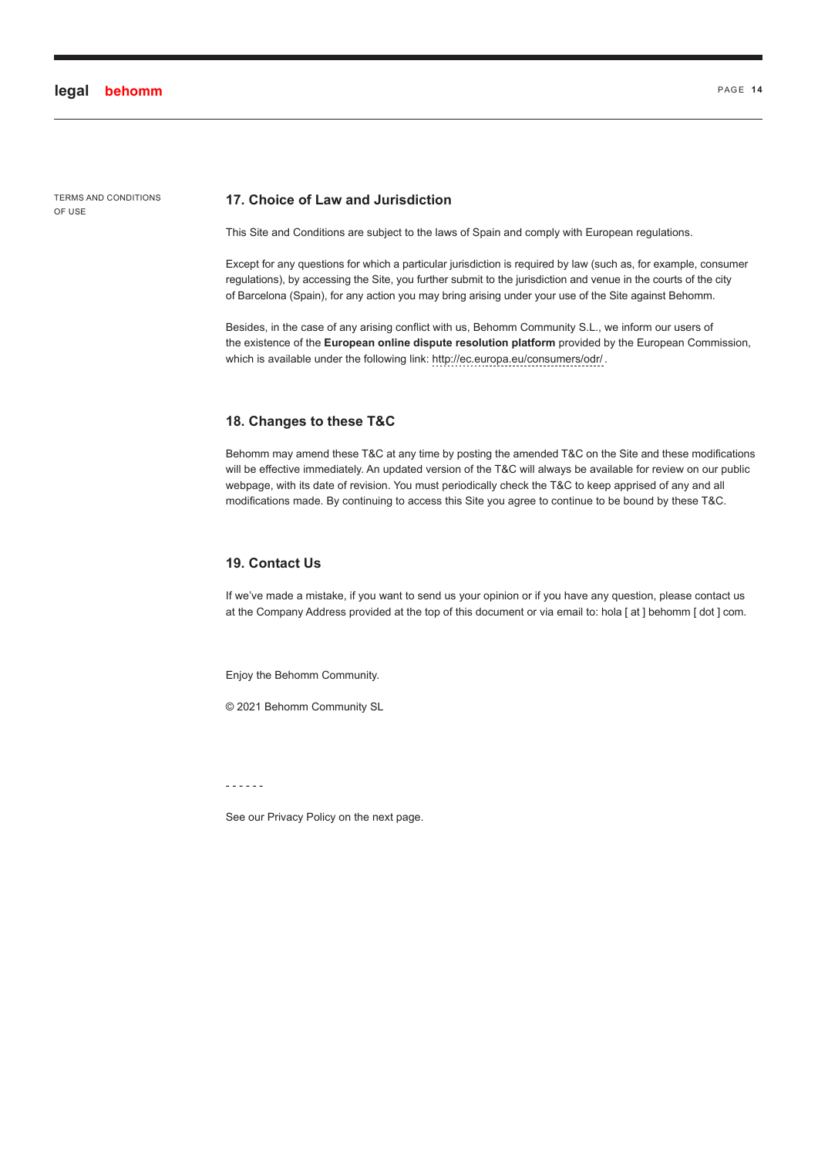#### **17. Choice of Law and Jurisdiction**

This Site and Conditions are subject to the laws of Spain and comply with European regulations.

Except for any questions for which a particular jurisdiction is required by law (such as, for example, consumer regulations), by accessing the Site, you further submit to the jurisdiction and venue in the courts of the city of Barcelona (Spain), for any action you may bring arising under your use of the Site against Behomm.

Besides, in the case of any arising conflict with us, Behomm Community S.L., we inform our users of the existence of the **European online dispute resolution platform** provided by the European Commission, which is available under the following link: http://ec.europa.eu/consumers/odr/.

## **18. Changes to these T&C**

Behomm may amend these T&C at any time by posting the amended T&C on the Site and these modifications will be effective immediately. An updated version of the T&C will always be available for review on our public webpage, with its date of revision. You must periodically check the T&C to keep apprised of any and all modifications made. By continuing to access this Site you agree to continue to be bound by these T&C.

# **19. Contact Us**

If we've made a mistake, if you want to send us your opinion or if you have any question, please contact us at the Company Address provided at the top of this document or via email to: hola [ at ] behomm [ dot ] com.

Enjoy the Behomm Community.

© 2021 Behomm Community SL

- - - - - -

See our Privacy Policy on the next page.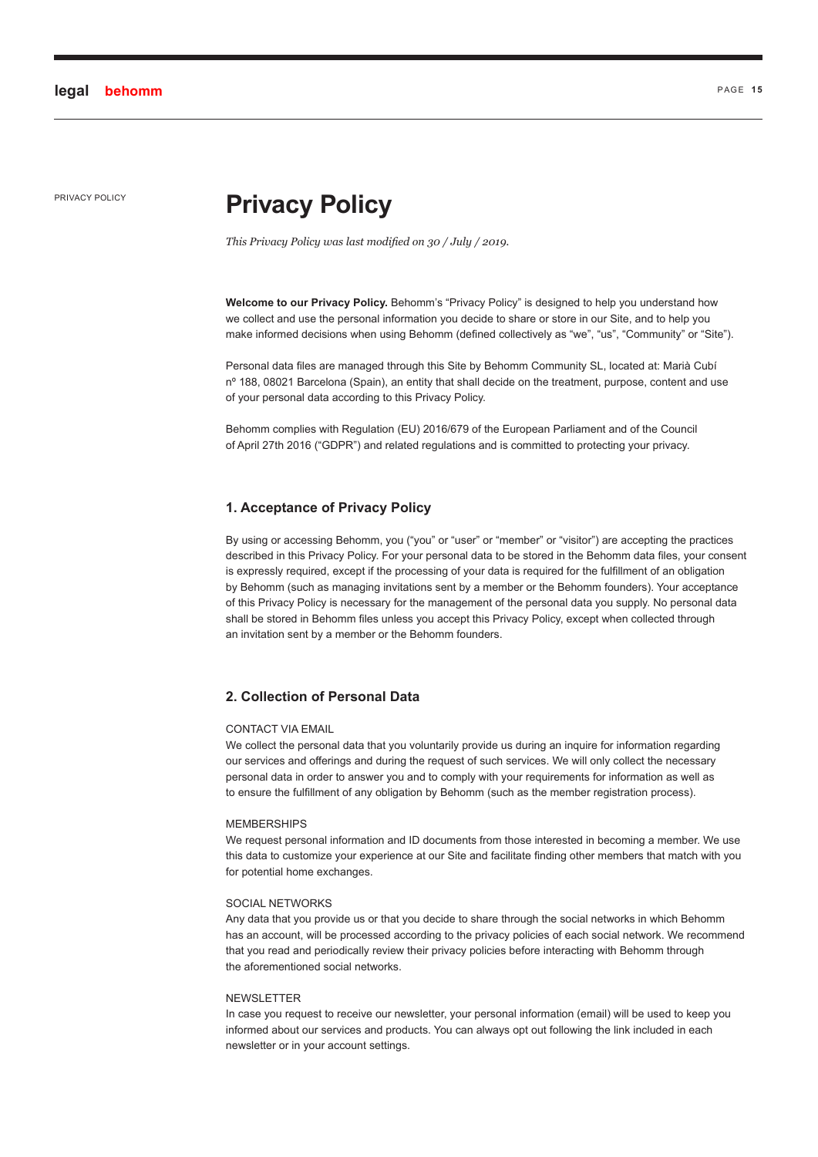# <span id="page-14-0"></span>**PRIVACY POLICY POLICY Privacy Policy**

*This Privacy Policy was last modified on 30 / July / 2019.*

**Welcome to our Privacy Policy.** Behomm's "Privacy Policy" is designed to help you understand how we collect and use the personal information you decide to share or store in our Site, and to help you make informed decisions when using Behomm (defined collectively as "we", "us", "Community" or "Site").

Personal data files are managed through this Site by Behomm Community SL, located at: Marià Cubí nº 188, 08021 Barcelona (Spain), an entity that shall decide on the treatment, purpose, content and use of your personal data according to this Privacy Policy.

Behomm complies with Regulation (EU) 2016/679 of the European Parliament and of the Council of April 27th 2016 ("GDPR") and related regulations and is committed to protecting your privacy.

# **1. Acceptance of Privacy Policy**

By using or accessing Behomm, you ("you" or "user" or "member" or "visitor") are accepting the practices described in this Privacy Policy. For your personal data to be stored in the Behomm data files, your consent is expressly required, except if the processing of your data is required for the fulfillment of an obligation by Behomm (such as managing invitations sent by a member or the Behomm founders). Your acceptance of this Privacy Policy is necessary for the management of the personal data you supply. No personal data shall be stored in Behomm files unless you accept this Privacy Policy, except when collected through an invitation sent by a member or the Behomm founders.

## **2. Collection of Personal Data**

#### CONTACT VIA EMAIL

We collect the personal data that you voluntarily provide us during an inquire for information regarding our services and offerings and during the request of such services. We will only collect the necessary personal data in order to answer you and to comply with your requirements for information as well as to ensure the fulfillment of any obligation by Behomm (such as the member registration process).

#### **MEMBERSHIPS**

We request personal information and ID documents from those interested in becoming a member. We use this data to customize your experience at our Site and facilitate finding other members that match with you for potential home exchanges.

#### SOCIAL NETWORKS

Any data that you provide us or that you decide to share through the social networks in which Behomm has an account, will be processed according to the privacy policies of each social network. We recommend that you read and periodically review their privacy policies before interacting with Behomm through the aforementioned social networks.

#### NEWSLETTER

In case you request to receive our newsletter, your personal information (email) will be used to keep you informed about our services and products. You can always opt out following the link included in each newsletter or in your account settings.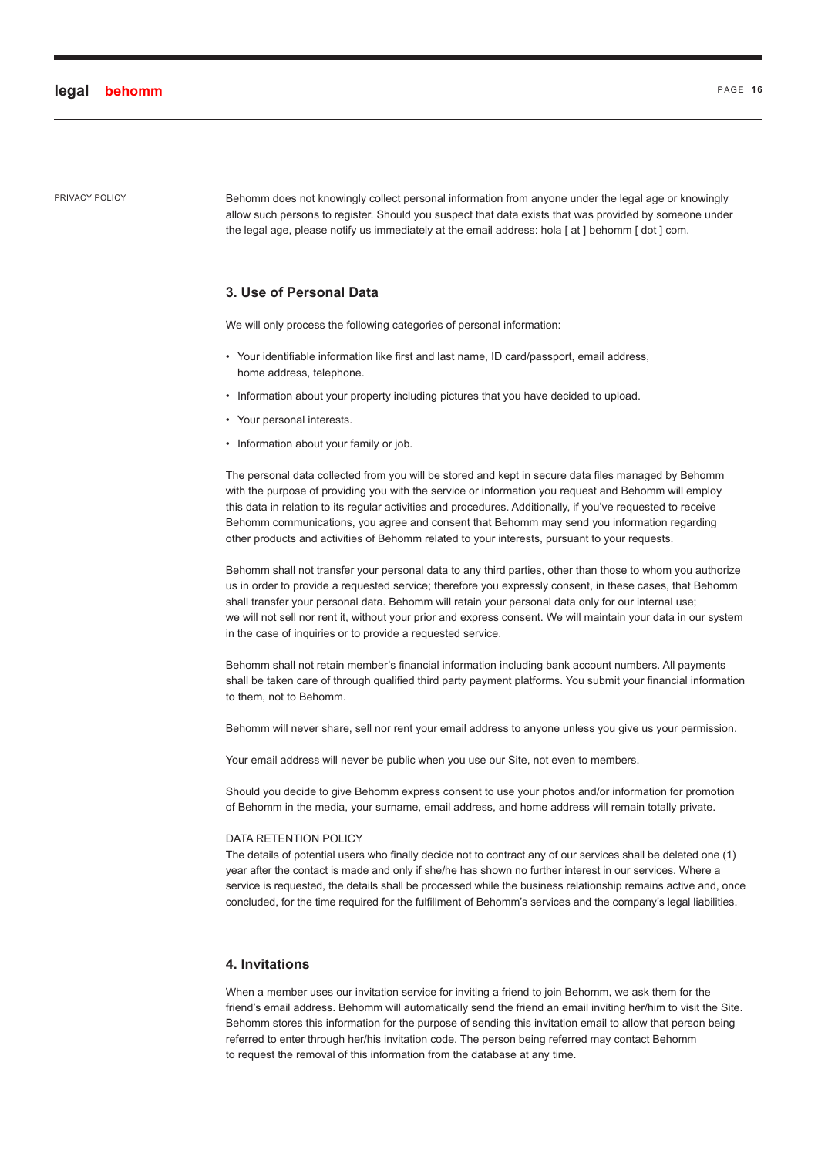PRIVACY POLICY Behomm does not knowingly collect personal information from anyone under the legal age or knowingly allow such persons to register. Should you suspect that data exists that was provided by someone under the legal age, please notify us immediately at the email address: hola [ at ] behomm [ dot ] com.

# **3. Use of Personal Data**

We will only process the following categories of personal information:

- Your identifiable information like first and last name, ID card/passport, email address, home address, telephone.
- Information about your property including pictures that you have decided to upload.
- Your personal interests.
- Information about your family or job.

The personal data collected from you will be stored and kept in secure data files managed by Behomm with the purpose of providing you with the service or information you request and Behomm will employ this data in relation to its regular activities and procedures. Additionally, if you've requested to receive Behomm communications, you agree and consent that Behomm may send you information regarding other products and activities of Behomm related to your interests, pursuant to your requests.

Behomm shall not transfer your personal data to any third parties, other than those to whom you authorize us in order to provide a requested service; therefore you expressly consent, in these cases, that Behomm shall transfer your personal data. Behomm will retain your personal data only for our internal use; we will not sell nor rent it, without your prior and express consent. We will maintain your data in our system in the case of inquiries or to provide a requested service.

Behomm shall not retain member's financial information including bank account numbers. All payments shall be taken care of through qualified third party payment platforms. You submit your financial information to them, not to Behomm.

Behomm will never share, sell nor rent your email address to anyone unless you give us your permission.

Your email address will never be public when you use our Site, not even to members.

Should you decide to give Behomm express consent to use your photos and/or information for promotion of Behomm in the media, your surname, email address, and home address will remain totally private.

#### DATA RETENTION POLICY

The details of potential users who finally decide not to contract any of our services shall be deleted one (1) year after the contact is made and only if she/he has shown no further interest in our services. Where a service is requested, the details shall be processed while the business relationship remains active and, once concluded, for the time required for the fulfillment of Behomm's services and the company's legal liabilities.

#### **4. Invitations**

When a member uses our invitation service for inviting a friend to join Behomm, we ask them for the friend's email address. Behomm will automatically send the friend an email inviting her/him to visit the Site. Behomm stores this information for the purpose of sending this invitation email to allow that person being referred to enter through her/his invitation code. The person being referred may contact Behomm to request the removal of this information from the database at any time.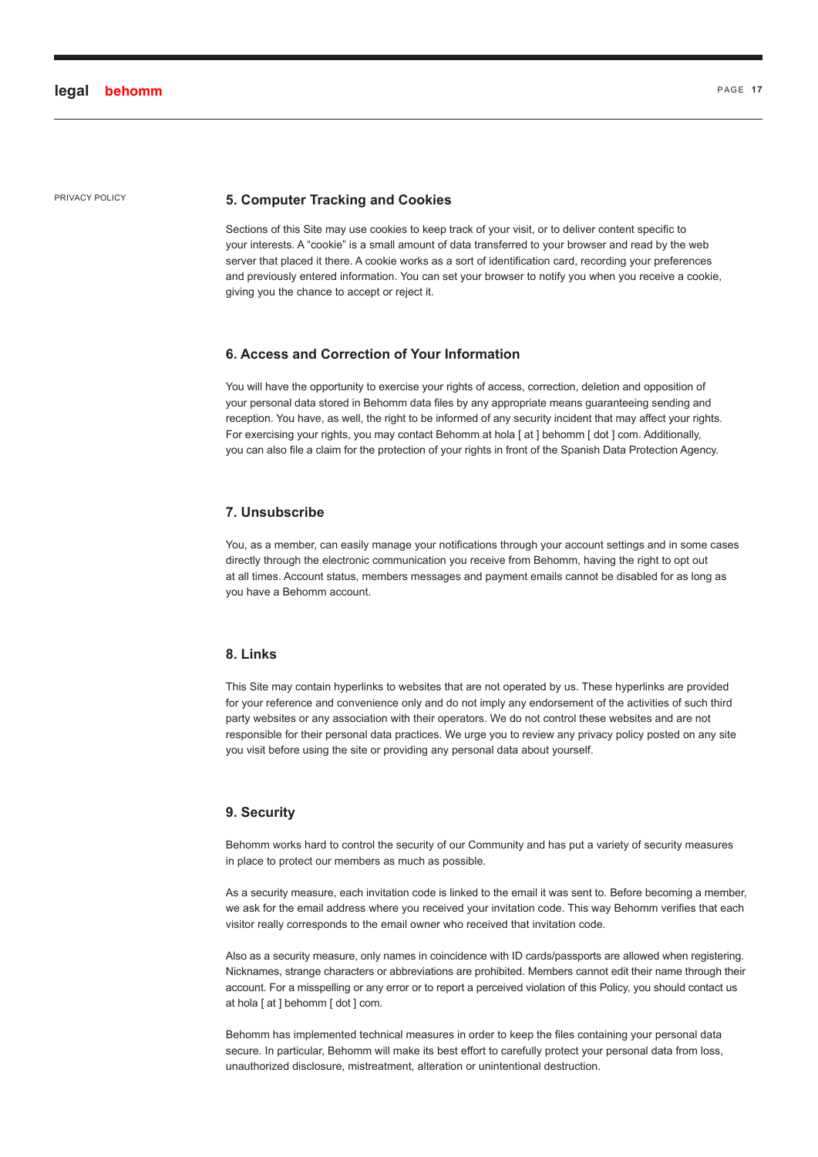# PRIVACY POLICY **5. Computer Tracking and Cookies**

Sections of this Site may use cookies to keep track of your visit, or to deliver content specific to your interests. A "cookie" is a small amount of data transferred to your browser and read by the web server that placed it there. A cookie works as a sort of identification card, recording your preferences and previously entered information. You can set your browser to notify you when you receive a cookie, giving you the chance to accept or reject it.

#### **6. Access and Correction of Your Information**

You will have the opportunity to exercise your rights of access, correction, deletion and opposition of your personal data stored in Behomm data files by any appropriate means guaranteeing sending and reception. You have, as well, the right to be informed of any security incident that may affect your rights. For exercising your rights, you may contact Behomm at hola [ at ] behomm [ dot ] com. Additionally, you can also file a claim for the protection of your rights in front of the Spanish Data Protection Agency.

#### **7. Unsubscribe**

You, as a member, can easily manage your notifications through your account settings and in some cases directly through the electronic communication you receive from Behomm, having the right to opt out at all times. Account status, members messages and payment emails cannot be disabled for as long as you have a Behomm account.

# **8. Links**

This Site may contain hyperlinks to websites that are not operated by us. These hyperlinks are provided for your reference and convenience only and do not imply any endorsement of the activities of such third party websites or any association with their operators. We do not control these websites and are not responsible for their personal data practices. We urge you to review any privacy policy posted on any site you visit before using the site or providing any personal data about yourself.

#### **9. Security**

Behomm works hard to control the security of our Community and has put a variety of security measures in place to protect our members as much as possible.

As a security measure, each invitation code is linked to the email it was sent to. Before becoming a member, we ask for the email address where you received your invitation code. This way Behomm verifies that each visitor really corresponds to the email owner who received that invitation code.

Also as a security measure, only names in coincidence with ID cards/passports are allowed when registering. Nicknames, strange characters or abbreviations are prohibited. Members cannot edit their name through their account. For a misspelling or any error or to report a perceived violation of this Policy, you should contact us at hola [ at ] behomm [ dot ] com.

Behomm has implemented technical measures in order to keep the files containing your personal data secure. In particular, Behomm will make its best effort to carefully protect your personal data from loss, unauthorized disclosure, mistreatment, alteration or unintentional destruction.